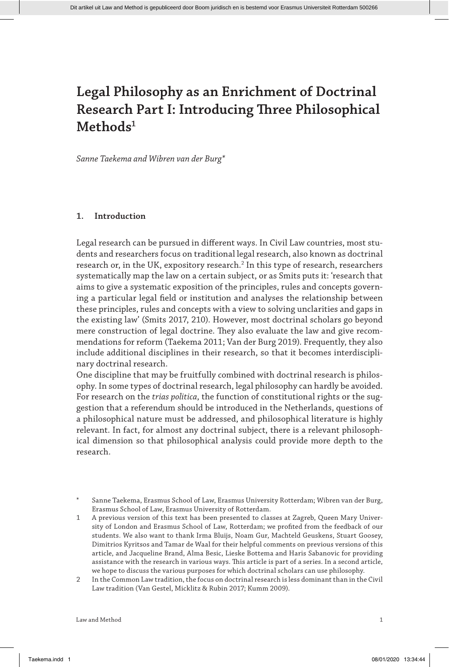*Sanne Taekema and Wibren van der Burg\**

# **1. Introduction**

Legal research can be pursued in different ways. In Civil Law countries, most students and researchers focus on traditional legal research, also known as doctrinal research or, in the UK, expository research.<sup>2</sup> In this type of research, researchers systematically map the law on a certain subject, or as Smits puts it: 'research that aims to give a systematic exposition of the principles, rules and concepts governing a particular legal field or institution and analyses the relationship between these principles, rules and concepts with a view to solving unclarities and gaps in the existing law' (Smits 2017, 210). However, most doctrinal scholars go beyond mere construction of legal doctrine. They also evaluate the law and give recommendations for reform (Taekema 2011; Van der Burg 2019). Frequently, they also include additional disciplines in their research, so that it becomes interdisciplinary doctrinal research.

One discipline that may be fruitfully combined with doctrinal research is philosophy. In some types of doctrinal research, legal philosophy can hardly be avoided. For research on the *trias politica*, the function of constitutional rights or the suggestion that a referendum should be introduced in the Netherlands, questions of a philosophical nature must be addressed, and philosophical literature is highly relevant. In fact, for almost any doctrinal subject, there is a relevant philosophical dimension so that philosophical analysis could provide more depth to the research.

1 A previous version of this text has been presented to classes at Zagreb, Queen Mary University of London and Erasmus School of Law, Rotterdam; we profited from the feedback of our students. We also want to thank Irma Bluijs, Noam Gur, Machteld Geuskens, Stuart Goosey, Dimitrios Kyritsos and Tamar de Waal for their helpful comments on previous versions of this article, and Jacqueline Brand, Alma Besic, Lieske Bottema and Haris Sabanovic for providing assistance with the research in various ways. This article is part of a series. In a second article, we hope to discuss the various purposes for which doctrinal scholars can use philosophy.

2 In the Common Law tradition, the focus on doctrinal research is less dominant than in the Civil Law tradition (Van Gestel, Micklitz & Rubin 2017; Kumm 2009).

<sup>\*</sup> Sanne Taekema, Erasmus School of Law, Erasmus University Rotterdam; Wibren van der Burg, Erasmus School of Law, Erasmus University of Rotterdam.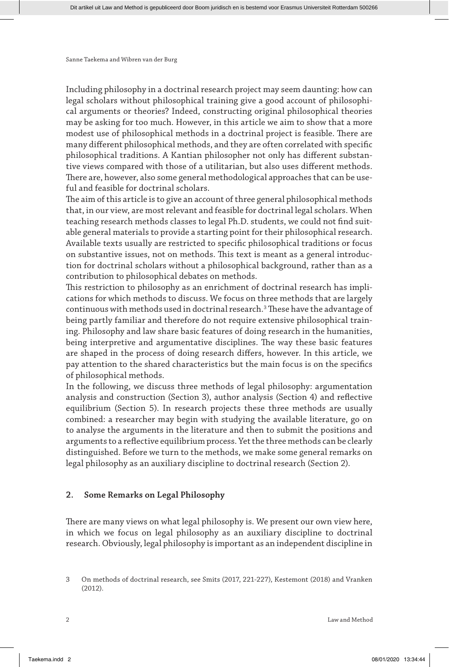Including philosophy in a doctrinal research project may seem daunting: how can legal scholars without philosophical training give a good account of philosophical arguments or theories? Indeed, constructing original philosophical theories may be asking for too much. However, in this article we aim to show that a more modest use of philosophical methods in a doctrinal project is feasible. There are many different philosophical methods, and they are often correlated with specific philosophical traditions. A Kantian philosopher not only has different substantive views compared with those of a utilitarian, but also uses different methods. There are, however, also some general methodological approaches that can be useful and feasible for doctrinal scholars.

The aim of this article is to give an account of three general philosophical methods that, in our view, are most relevant and feasible for doctrinal legal scholars. When teaching research methods classes to legal Ph.D. students, we could not find suitable general materials to provide a starting point for their philosophical research. Available texts usually are restricted to specific philosophical traditions or focus on substantive issues, not on methods. This text is meant as a general introduction for doctrinal scholars without a philosophical background, rather than as a contribution to philosophical debates on methods.

This restriction to philosophy as an enrichment of doctrinal research has implications for which methods to discuss. We focus on three methods that are largely continuous with methods used in doctrinal research.<sup>3</sup> These have the advantage of being partly familiar and therefore do not require extensive philosophical training. Philosophy and law share basic features of doing research in the humanities, being interpretive and argumentative disciplines. The way these basic features are shaped in the process of doing research differs, however. In this article, we pay attention to the shared characteristics but the main focus is on the specifics of philosophical methods.

In the following, we discuss three methods of legal philosophy: argumentation analysis and construction (Section 3), author analysis (Section 4) and reflective equilibrium (Section 5). In research projects these three methods are usually combined: a researcher may begin with studying the available literature, go on to analyse the arguments in the literature and then to submit the positions and arguments to a reflective equilibrium process. Yet the three methods can be clearly distinguished. Before we turn to the methods, we make some general remarks on legal philosophy as an auxiliary discipline to doctrinal research (Section 2).

## **2. Some Remarks on Legal Philosophy**

There are many views on what legal philosophy is. We present our own view here, in which we focus on legal philosophy as an auxiliary discipline to doctrinal research. Obviously, legal philosophy is important as an independent discipline in

<sup>3</sup> On methods of doctrinal research, see Smits (2017, 221-227), Kestemont (2018) and Vranken (2012).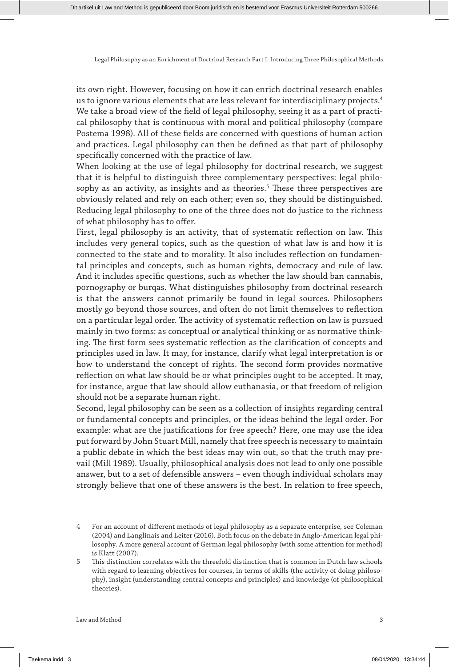its own right. However, focusing on how it can enrich doctrinal research enables us to ignore various elements that are less relevant for interdisciplinary projects.4 We take a broad view of the field of legal philosophy, seeing it as a part of practical philosophy that is continuous with moral and political philosophy (compare Postema 1998). All of these fields are concerned with questions of human action and practices. Legal philosophy can then be defined as that part of philosophy specifically concerned with the practice of law.

When looking at the use of legal philosophy for doctrinal research, we suggest that it is helpful to distinguish three complementary perspectives: legal philosophy as an activity, as insights and as theories.<sup>5</sup> These three perspectives are obviously related and rely on each other; even so, they should be distinguished. Reducing legal philosophy to one of the three does not do justice to the richness of what philosophy has to offer.

First, legal philosophy is an activity, that of systematic reflection on law. This includes very general topics, such as the question of what law is and how it is connected to the state and to morality. It also includes reflection on fundamental principles and concepts, such as human rights, democracy and rule of law. And it includes specific questions, such as whether the law should ban cannabis, pornography or burqas. What distinguishes philosophy from doctrinal research is that the answers cannot primarily be found in legal sources. Philosophers mostly go beyond those sources, and often do not limit themselves to reflection on a particular legal order. The activity of systematic reflection on law is pursued mainly in two forms: as conceptual or analytical thinking or as normative thinking. The first form sees systematic reflection as the clarification of concepts and principles used in law. It may, for instance, clarify what legal interpretation is or how to understand the concept of rights. The second form provides normative reflection on what law should be or what principles ought to be accepted. It may, for instance, argue that law should allow euthanasia, or that freedom of religion should not be a separate human right.

Second, legal philosophy can be seen as a collection of insights regarding central or fundamental concepts and principles, or the ideas behind the legal order. For example: what are the justifications for free speech? Here, one may use the idea put forward by John Stuart Mill, namely that free speech is necessary to maintain a public debate in which the best ideas may win out, so that the truth may prevail (Mill 1989). Usually, philosophical analysis does not lead to only one possible answer, but to a set of defensible answers – even though individual scholars may strongly believe that one of these answers is the best. In relation to free speech,

<sup>4</sup> For an account of different methods of legal philosophy as a separate enterprise, see Coleman (2004) and Langlinais and Leiter (2016). Both focus on the debate in Anglo-American legal philosophy. A more general account of German legal philosophy (with some attention for method) is Klatt (2007).

<sup>5</sup> This distinction correlates with the threefold distinction that is common in Dutch law schools with regard to learning objectives for courses, in terms of skills (the activity of doing philosophy), insight (understanding central concepts and principles) and knowledge (of philosophical theories).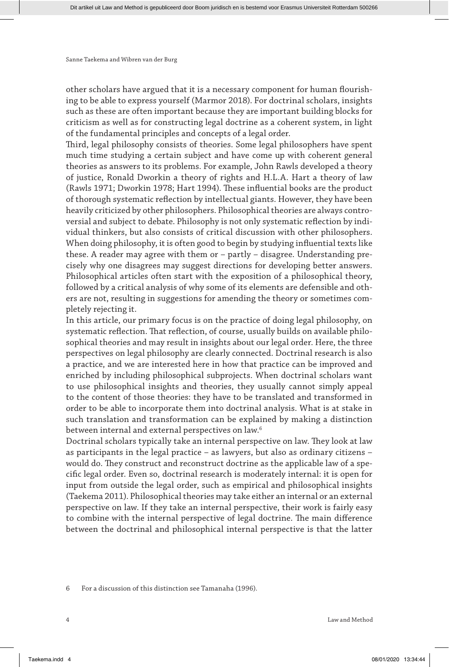other scholars have argued that it is a necessary component for human flourishing to be able to express yourself (Marmor 2018). For doctrinal scholars, insights such as these are often important because they are important building blocks for criticism as well as for constructing legal doctrine as a coherent system, in light of the fundamental principles and concepts of a legal order.

Third, legal philosophy consists of theories. Some legal philosophers have spent much time studying a certain subject and have come up with coherent general theories as answers to its problems. For example, John Rawls developed a theory of justice, Ronald Dworkin a theory of rights and H.L.A. Hart a theory of law (Rawls 1971; Dworkin 1978; Hart 1994). These influential books are the product of thorough systematic reflection by intellectual giants. However, they have been heavily criticized by other philosophers. Philosophical theories are always controversial and subject to debate. Philosophy is not only systematic reflection by individual thinkers, but also consists of critical discussion with other philosophers. When doing philosophy, it is often good to begin by studying influential texts like these. A reader may agree with them or – partly – disagree. Understanding precisely why one disagrees may suggest directions for developing better answers. Philosophical articles often start with the exposition of a philosophical theory, followed by a critical analysis of why some of its elements are defensible and others are not, resulting in suggestions for amending the theory or sometimes completely rejecting it.

In this article, our primary focus is on the practice of doing legal philosophy, on systematic reflection. That reflection, of course, usually builds on available philosophical theories and may result in insights about our legal order. Here, the three perspectives on legal philosophy are clearly connected. Doctrinal research is also a practice, and we are interested here in how that practice can be improved and enriched by including philosophical subprojects. When doctrinal scholars want to use philosophical insights and theories, they usually cannot simply appeal to the content of those theories: they have to be translated and transformed in order to be able to incorporate them into doctrinal analysis. What is at stake in such translation and transformation can be explained by making a distinction between internal and external perspectives on law.6

Doctrinal scholars typically take an internal perspective on law. They look at law as participants in the legal practice – as lawyers, but also as ordinary citizens – would do. They construct and reconstruct doctrine as the applicable law of a specific legal order. Even so, doctrinal research is moderately internal: it is open for input from outside the legal order, such as empirical and philosophical insights (Taekema 2011). Philosophical theories may take either an internal or an external perspective on law. If they take an internal perspective, their work is fairly easy to combine with the internal perspective of legal doctrine. The main difference between the doctrinal and philosophical internal perspective is that the latter

6 For a discussion of this distinction see Tamanaha (1996).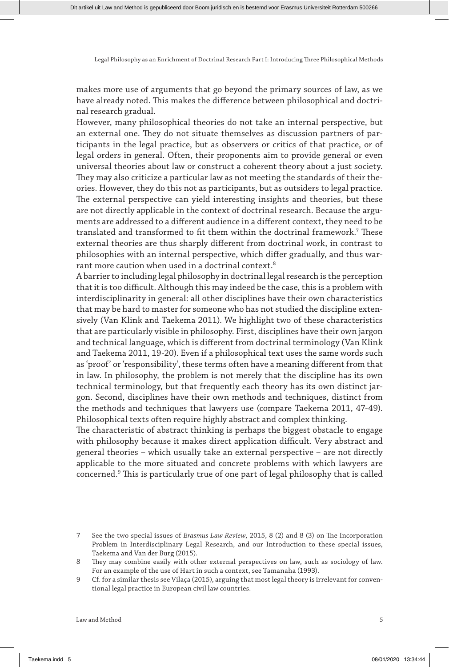makes more use of arguments that go beyond the primary sources of law, as we have already noted. This makes the difference between philosophical and doctrinal research gradual.

However, many philosophical theories do not take an internal perspective, but an external one. They do not situate themselves as discussion partners of participants in the legal practice, but as observers or critics of that practice, or of legal orders in general. Often, their proponents aim to provide general or even universal theories about law or construct a coherent theory about a just society. They may also criticize a particular law as not meeting the standards of their theories. However, they do this not as participants, but as outsiders to legal practice. The external perspective can yield interesting insights and theories, but these are not directly applicable in the context of doctrinal research. Because the arguments are addressed to a different audience in a different context, they need to be translated and transformed to fit them within the doctrinal framework.7 These external theories are thus sharply different from doctrinal work, in contrast to philosophies with an internal perspective, which differ gradually, and thus warrant more caution when used in a doctrinal context.<sup>8</sup>

A barrier to including legal philosophy in doctrinal legal research is the perception that it is too difficult. Although this may indeed be the case, this is a problem with interdisciplinarity in general: all other disciplines have their own characteristics that may be hard to master for someone who has not studied the discipline extensively (Van Klink and Taekema 2011). We highlight two of these characteristics that are particularly visible in philosophy. First, disciplines have their own jargon and technical language, which is different from doctrinal terminology (Van Klink and Taekema 2011, 19-20). Even if a philosophical text uses the same words such as 'proof' or 'responsibility', these terms often have a meaning different from that in law. In philosophy, the problem is not merely that the discipline has its own technical terminology, but that frequently each theory has its own distinct jargon. Second, disciplines have their own methods and techniques, distinct from the methods and techniques that lawyers use (compare Taekema 2011, 47-49). Philosophical texts often require highly abstract and complex thinking.

The characteristic of abstract thinking is perhaps the biggest obstacle to engage with philosophy because it makes direct application difficult. Very abstract and general theories – which usually take an external perspective – are not directly applicable to the more situated and concrete problems with which lawyers are concerned.9 This is particularly true of one part of legal philosophy that is called

<sup>7</sup> See the two special issues of *Erasmus Law Review*, 2015, 8 (2) and 8 (3) on The Incorporation Problem in Interdisciplinary Legal Research, and our Introduction to these special issues, Taekema and Van der Burg (2015).

<sup>8</sup> They may combine easily with other external perspectives on law, such as sociology of law. For an example of the use of Hart in such a context, see Tamanaha (1993).

<sup>9</sup> Cf. for a similar thesis see Vilaça (2015), arguing that most legal theory is irrelevant for conventional legal practice in European civil law countries.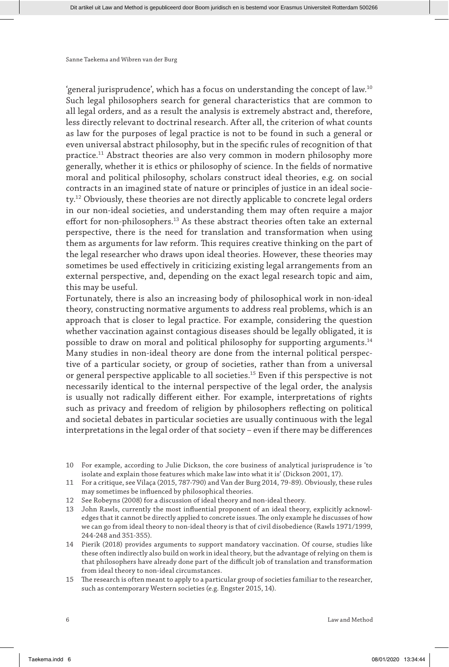'general jurisprudence', which has a focus on understanding the concept of law.10 Such legal philosophers search for general characteristics that are common to all legal orders, and as a result the analysis is extremely abstract and, therefore, less directly relevant to doctrinal research. After all, the criterion of what counts as law for the purposes of legal practice is not to be found in such a general or even universal abstract philosophy, but in the specific rules of recognition of that practice.11 Abstract theories are also very common in modern philosophy more generally, whether it is ethics or philosophy of science. In the fields of normative moral and political philosophy, scholars construct ideal theories, e.g. on social contracts in an imagined state of nature or principles of justice in an ideal society.<sup>12</sup> Obviously, these theories are not directly applicable to concrete legal orders in our non-ideal societies, and understanding them may often require a major effort for non-philosophers.<sup>13</sup> As these abstract theories often take an external perspective, there is the need for translation and transformation when using them as arguments for law reform. This requires creative thinking on the part of the legal researcher who draws upon ideal theories. However, these theories may sometimes be used effectively in criticizing existing legal arrangements from an external perspective, and, depending on the exact legal research topic and aim, this may be useful.

Fortunately, there is also an increasing body of philosophical work in non-ideal theory, constructing normative arguments to address real problems, which is an approach that is closer to legal practice. For example, considering the question whether vaccination against contagious diseases should be legally obligated, it is possible to draw on moral and political philosophy for supporting arguments.14 Many studies in non-ideal theory are done from the internal political perspective of a particular society, or group of societies, rather than from a universal or general perspective applicable to all societies.15 Even if this perspective is not necessarily identical to the internal perspective of the legal order, the analysis is usually not radically different either. For example, interpretations of rights such as privacy and freedom of religion by philosophers reflecting on political and societal debates in particular societies are usually continuous with the legal interpretations in the legal order of that society – even if there may be differences

- 10 For example, according to Julie Dickson, the core business of analytical jurisprudence is 'to isolate and explain those features which make law into what it is' (Dickson 2001, 17).
- 11 For a critique, see Vilaça (2015, 787-790) and Van der Burg 2014, 79-89). Obviously, these rules may sometimes be influenced by philosophical theories.
- 12 See Robeyns (2008) for a discussion of ideal theory and non-ideal theory.
- 13 John Rawls, currently the most influential proponent of an ideal theory, explicitly acknowledges that it cannot be directly applied to concrete issues. The only example he discusses of how we can go from ideal theory to non-ideal theory is that of civil disobedience (Rawls 1971/1999, 244-248 and 351-355).
- 14 Pierik (2018) provides arguments to support mandatory vaccination. Of course, studies like these often indirectly also build on work in ideal theory, but the advantage of relying on them is that philosophers have already done part of the difficult job of translation and transformation from ideal theory to non-ideal circumstances.
- 15 The research is often meant to apply to a particular group of societies familiar to the researcher, such as contemporary Western societies (e.g. Engster 2015, 14).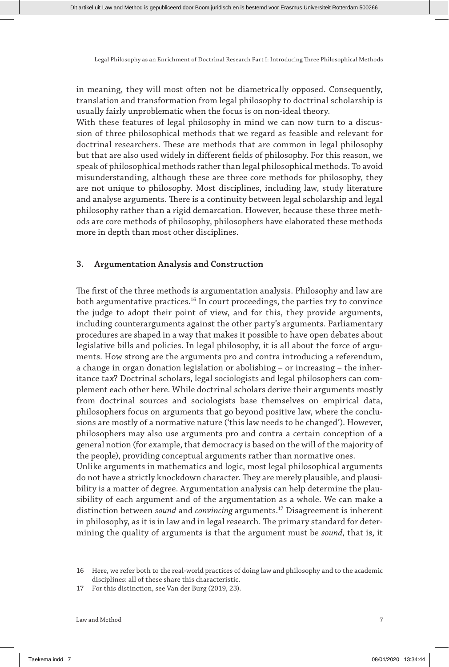in meaning, they will most often not be diametrically opposed. Consequently, translation and transformation from legal philosophy to doctrinal scholarship is usually fairly unproblematic when the focus is on non-ideal theory.

With these features of legal philosophy in mind we can now turn to a discussion of three philosophical methods that we regard as feasible and relevant for doctrinal researchers. These are methods that are common in legal philosophy but that are also used widely in different fields of philosophy. For this reason, we speak of philosophical methods rather than legal philosophical methods. To avoid misunderstanding, although these are three core methods for philosophy, they are not unique to philosophy. Most disciplines, including law, study literature and analyse arguments. There is a continuity between legal scholarship and legal philosophy rather than a rigid demarcation. However, because these three methods are core methods of philosophy, philosophers have elaborated these methods more in depth than most other disciplines.

### **3. Argumentation Analysis and Construction**

The first of the three methods is argumentation analysis. Philosophy and law are both argumentative practices.<sup>16</sup> In court proceedings, the parties try to convince the judge to adopt their point of view, and for this, they provide arguments, including counterarguments against the other party's arguments. Parliamentary procedures are shaped in a way that makes it possible to have open debates about legislative bills and policies. In legal philosophy, it is all about the force of arguments. How strong are the arguments pro and contra introducing a referendum, a change in organ donation legislation or abolishing – or increasing – the inheritance tax? Doctrinal scholars, legal sociologists and legal philosophers can complement each other here. While doctrinal scholars derive their arguments mostly from doctrinal sources and sociologists base themselves on empirical data, philosophers focus on arguments that go beyond positive law, where the conclusions are mostly of a normative nature ('this law needs to be changed'). However, philosophers may also use arguments pro and contra a certain conception of a general notion (for example, that democracy is based on the will of the majority of the people), providing conceptual arguments rather than normative ones. Unlike arguments in mathematics and logic, most legal philosophical arguments do not have a strictly knockdown character. They are merely plausible, and plausi-

bility is a matter of degree. Argumentation analysis can help determine the plausibility of each argument and of the argumentation as a whole. We can make a distinction between *sound* and *convincing* arguments.17 Disagreement is inherent in philosophy, as it is in law and in legal research. The primary standard for determining the quality of arguments is that the argument must be *sound*, that is, it

<sup>16</sup> Here, we refer both to the real-world practices of doing law and philosophy and to the academic disciplines: all of these share this characteristic.

<sup>17</sup> For this distinction, see Van der Burg (2019, 23).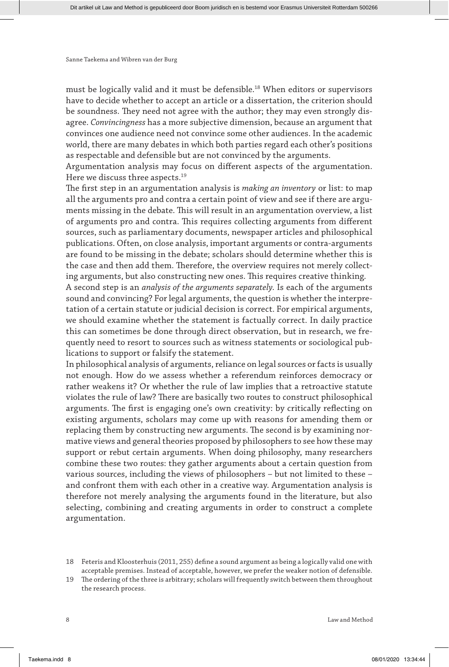must be logically valid and it must be defensible.18 When editors or supervisors have to decide whether to accept an article or a dissertation, the criterion should be soundness. They need not agree with the author; they may even strongly disagree. *Convincingness* has a more subjective dimension, because an argument that convinces one audience need not convince some other audiences. In the academic world, there are many debates in which both parties regard each other's positions as respectable and defensible but are not convinced by the arguments.

Argumentation analysis may focus on different aspects of the argumentation. Here we discuss three aspects.<sup>19</sup>

The first step in an argumentation analysis is *making an inventory* or list: to map all the arguments pro and contra a certain point of view and see if there are arguments missing in the debate. This will result in an argumentation overview, a list of arguments pro and contra. This requires collecting arguments from different sources, such as parliamentary documents, newspaper articles and philosophical publications. Often, on close analysis, important arguments or contra-arguments are found to be missing in the debate; scholars should determine whether this is the case and then add them. Therefore, the overview requires not merely collecting arguments, but also constructing new ones. This requires creative thinking.

A second step is an *analysis of the arguments separately*. Is each of the arguments sound and convincing? For legal arguments, the question is whether the interpretation of a certain statute or judicial decision is correct. For empirical arguments, we should examine whether the statement is factually correct. In daily practice this can sometimes be done through direct observation, but in research, we frequently need to resort to sources such as witness statements or sociological publications to support or falsify the statement.

In philosophical analysis of arguments, reliance on legal sources or facts is usually not enough. How do we assess whether a referendum reinforces democracy or rather weakens it? Or whether the rule of law implies that a retroactive statute violates the rule of law? There are basically two routes to construct philosophical arguments. The first is engaging one's own creativity: by critically reflecting on existing arguments, scholars may come up with reasons for amending them or replacing them by constructing new arguments. The second is by examining normative views and general theories proposed by philosophers to see how these may support or rebut certain arguments. When doing philosophy, many researchers combine these two routes: they gather arguments about a certain question from various sources, including the views of philosophers – but not limited to these – and confront them with each other in a creative way. Argumentation analysis is therefore not merely analysing the arguments found in the literature, but also selecting, combining and creating arguments in order to construct a complete argumentation.

<sup>18</sup> Feteris and Kloosterhuis (2011, 255) define a sound argument as being a logically valid one with acceptable premises. Instead of acceptable, however, we prefer the weaker notion of defensible.

<sup>19</sup> The ordering of the three is arbitrary; scholars will frequently switch between them throughout the research process.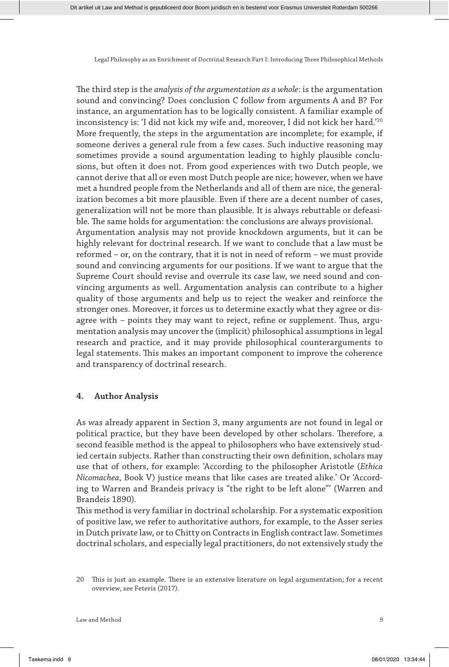The third step is the *analysis of the argumentation as a whole*: is the argumentation sound and convincing? Does conclusion C follow from arguments A and B? For instance, an argumentation has to be logically consistent. A familiar example of inconsistency is: 'I did not kick my wife and, moreover, I did not kick her hard.'20 More frequently, the steps in the argumentation are incomplete; for example, if someone derives a general rule from a few cases. Such inductive reasoning may sometimes provide a sound argumentation leading to highly plausible conclusions, but often it does not. From good experiences with two Dutch people, we cannot derive that all or even most Dutch people are nice; however, when we have met a hundred people from the Netherlands and all of them are nice, the generalization becomes a bit more plausible. Even if there are a decent number of cases, generalization will not be more than plausible. It is always rebuttable or defeasible. The same holds for argumentation: the conclusions are always provisional. Argumentation analysis may not provide knockdown arguments, but it can be highly relevant for doctrinal research. If we want to conclude that a law must be reformed – or, on the contrary, that it is not in need of reform – we must provide sound and convincing arguments for our positions. If we want to argue that the Supreme Court should revise and overrule its case law, we need sound and convincing arguments as well. Argumentation analysis can contribute to a higher quality of those arguments and help us to reject the weaker and reinforce the stronger ones. Moreover, it forces us to determine exactly what they agree or disagree with – points they may want to reject, refine or supplement. Thus, argumentation analysis may uncover the (implicit) philosophical assumptions in legal research and practice, and it may provide philosophical counterarguments to legal statements. This makes an important component to improve the coherence and transparency of doctrinal research.

#### **4. Author Analysis**

As was already apparent in Section 3, many arguments are not found in legal or political practice, but they have been developed by other scholars. Therefore, a second feasible method is the appeal to philosophers who have extensively studied certain subjects. Rather than constructing their own definition, scholars may use that of others, for example: 'According to the philosopher Aristotle (*Ethica Nicomachea*, Book V) justice means that like cases are treated alike.' Or 'According to Warren and Brandeis privacy is "the right to be left alone"' (Warren and Brandeis 1890).

This method is very familiar in doctrinal scholarship. For a systematic exposition of positive law, we refer to authoritative authors, for example, to the Asser series in Dutch private law, or to Chitty on Contracts in English contract law. Sometimes doctrinal scholars, and especially legal practitioners, do not extensively study the

<sup>20</sup> This is just an example. There is an extensive literature on legal argumentation; for a recent overview, see Feteris (2017).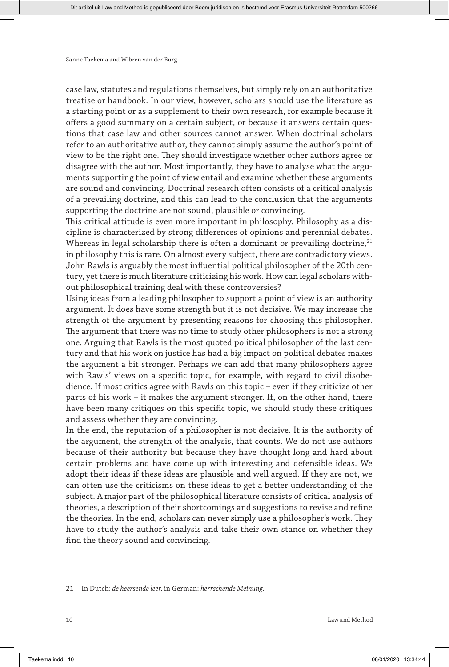case law, statutes and regulations themselves, but simply rely on an authoritative treatise or handbook. In our view, however, scholars should use the literature as a starting point or as a supplement to their own research, for example because it offers a good summary on a certain subject, or because it answers certain questions that case law and other sources cannot answer. When doctrinal scholars refer to an authoritative author, they cannot simply assume the author's point of view to be the right one. They should investigate whether other authors agree or disagree with the author. Most importantly, they have to analyse what the arguments supporting the point of view entail and examine whether these arguments are sound and convincing. Doctrinal research often consists of a critical analysis of a prevailing doctrine, and this can lead to the conclusion that the arguments supporting the doctrine are not sound, plausible or convincing.

This critical attitude is even more important in philosophy. Philosophy as a discipline is characterized by strong differences of opinions and perennial debates. Whereas in legal scholarship there is often a dominant or prevailing doctrine, $21$ in philosophy this is rare. On almost every subject, there are contradictory views. John Rawls is arguably the most influential political philosopher of the 20th century, yet there is much literature criticizing his work. How can legal scholars without philosophical training deal with these controversies?

Using ideas from a leading philosopher to support a point of view is an authority argument. It does have some strength but it is not decisive. We may increase the strength of the argument by presenting reasons for choosing this philosopher. The argument that there was no time to study other philosophers is not a strong one. Arguing that Rawls is the most quoted political philosopher of the last century and that his work on justice has had a big impact on political debates makes the argument a bit stronger. Perhaps we can add that many philosophers agree with Rawls' views on a specific topic, for example, with regard to civil disobedience. If most critics agree with Rawls on this topic – even if they criticize other parts of his work – it makes the argument stronger. If, on the other hand, there have been many critiques on this specific topic, we should study these critiques and assess whether they are convincing.

In the end, the reputation of a philosopher is not decisive. It is the authority of the argument, the strength of the analysis, that counts. We do not use authors because of their authority but because they have thought long and hard about certain problems and have come up with interesting and defensible ideas. We adopt their ideas if these ideas are plausible and well argued. If they are not, we can often use the criticisms on these ideas to get a better understanding of the subject. A major part of the philosophical literature consists of critical analysis of theories, a description of their shortcomings and suggestions to revise and refine the theories. In the end, scholars can never simply use a philosopher's work. They have to study the author's analysis and take their own stance on whether they find the theory sound and convincing.

21 In Dutch: *de heersende leer*, in German: *herrschende Meinung*.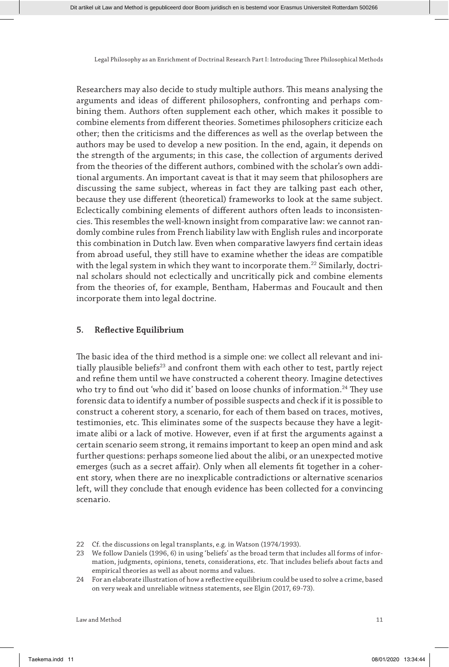Researchers may also decide to study multiple authors. This means analysing the arguments and ideas of different philosophers, confronting and perhaps combining them. Authors often supplement each other, which makes it possible to combine elements from different theories. Sometimes philosophers criticize each other; then the criticisms and the differences as well as the overlap between the authors may be used to develop a new position. In the end, again, it depends on the strength of the arguments; in this case, the collection of arguments derived from the theories of the different authors, combined with the scholar's own additional arguments. An important caveat is that it may seem that philosophers are discussing the same subject, whereas in fact they are talking past each other, because they use different (theoretical) frameworks to look at the same subject. Eclectically combining elements of different authors often leads to inconsistencies. This resembles the well-known insight from comparative law: we cannot randomly combine rules from French liability law with English rules and incorporate this combination in Dutch law. Even when comparative lawyers find certain ideas from abroad useful, they still have to examine whether the ideas are compatible with the legal system in which they want to incorporate them.<sup>22</sup> Similarly, doctrinal scholars should not eclectically and uncritically pick and combine elements from the theories of, for example, Bentham, Habermas and Foucault and then incorporate them into legal doctrine.

#### **5. Reflective Equilibrium**

The basic idea of the third method is a simple one: we collect all relevant and initially plausible beliefs<sup>23</sup> and confront them with each other to test, partly reject and refine them until we have constructed a coherent theory. Imagine detectives who try to find out 'who did it' based on loose chunks of information.<sup>24</sup> They use forensic data to identify a number of possible suspects and check if it is possible to construct a coherent story, a scenario, for each of them based on traces, motives, testimonies, etc. This eliminates some of the suspects because they have a legitimate alibi or a lack of motive. However, even if at first the arguments against a certain scenario seem strong, it remains important to keep an open mind and ask further questions: perhaps someone lied about the alibi, or an unexpected motive emerges (such as a secret affair). Only when all elements fit together in a coherent story, when there are no inexplicable contradictions or alternative scenarios left, will they conclude that enough evidence has been collected for a convincing scenario.

<sup>22</sup> Cf. the discussions on legal transplants, e.g. in Watson (1974/1993).

<sup>23</sup> We follow Daniels (1996, 6) in using 'beliefs' as the broad term that includes all forms of information, judgments, opinions, tenets, considerations, etc. That includes beliefs about facts and empirical theories as well as about norms and values.

<sup>24</sup> For an elaborate illustration of how a reflective equilibrium could be used to solve a crime, based on very weak and unreliable witness statements, see Elgin (2017, 69-73).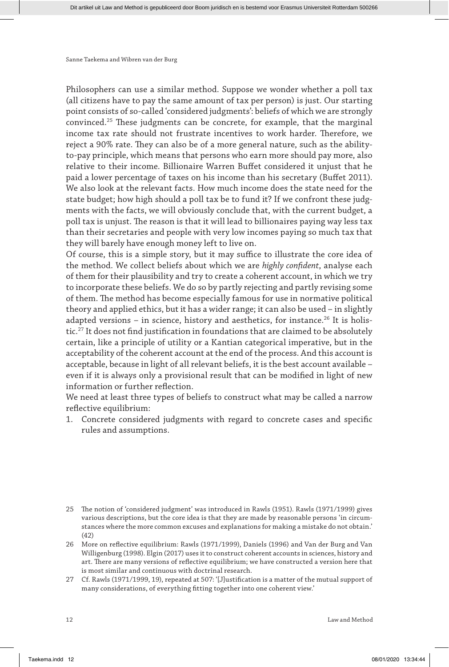Philosophers can use a similar method. Suppose we wonder whether a poll tax (all citizens have to pay the same amount of tax per person) is just. Our starting point consists of so-called 'considered judgments': beliefs of which we are strongly convinced.25 These judgments can be concrete, for example, that the marginal income tax rate should not frustrate incentives to work harder. Therefore, we reject a 90% rate. They can also be of a more general nature, such as the abilityto-pay principle, which means that persons who earn more should pay more, also relative to their income. Billionaire Warren Buffet considered it unjust that he paid a lower percentage of taxes on his income than his secretary (Buffet 2011). We also look at the relevant facts. How much income does the state need for the state budget; how high should a poll tax be to fund it? If we confront these judgments with the facts, we will obviously conclude that, with the current budget, a poll tax is unjust. The reason is that it will lead to billionaires paying way less tax than their secretaries and people with very low incomes paying so much tax that they will barely have enough money left to live on.

Of course, this is a simple story, but it may suffice to illustrate the core idea of the method. We collect beliefs about which we are *highly confident*, analyse each of them for their plausibility and try to create a coherent account, in which we try to incorporate these beliefs. We do so by partly rejecting and partly revising some of them. The method has become especially famous for use in normative political theory and applied ethics, but it has a wider range; it can also be used – in slightly adapted versions – in science, history and aesthetics, for instance.<sup>26</sup> It is holistic.27 It does not find justification in foundations that are claimed to be absolutely certain, like a principle of utility or a Kantian categorical imperative, but in the acceptability of the coherent account at the end of the process. And this account is acceptable, because in light of all relevant beliefs, it is the best account available – even if it is always only a provisional result that can be modified in light of new information or further reflection.

We need at least three types of beliefs to construct what may be called a narrow reflective equilibrium:

1. Concrete considered judgments with regard to concrete cases and specific rules and assumptions.

Sanne Taekema and Wibren van der Burg

<sup>25</sup> The notion of 'considered judgment' was introduced in Rawls (1951). Rawls (1971/1999) gives various descriptions, but the core idea is that they are made by reasonable persons 'in circumstances where the more common excuses and explanations for making a mistake do not obtain.' (42)

<sup>26</sup> More on reflective equilibrium: Rawls (1971/1999), Daniels (1996) and Van der Burg and Van Willigenburg (1998). Elgin (2017) uses it to construct coherent accounts in sciences, history and art. There are many versions of reflective equilibrium; we have constructed a version here that is most similar and continuous with doctrinal research.

<sup>27</sup> Cf. Rawls (1971/1999, 19), repeated at 507: '[J]ustification is a matter of the mutual support of many considerations, of everything fitting together into one coherent view.'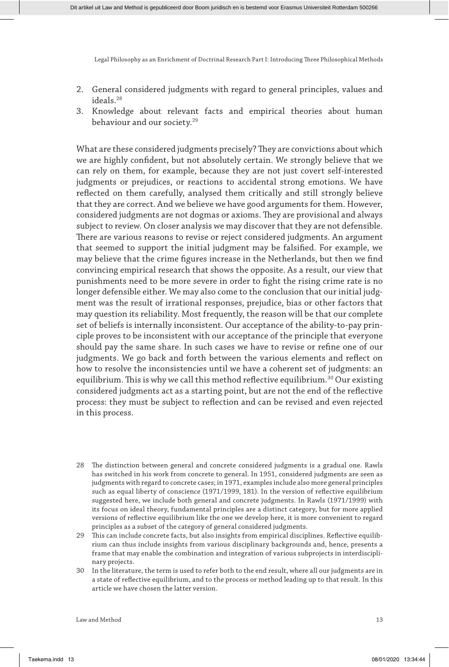- 2. General considered judgments with regard to general principles, values and ideals.28
- 3. Knowledge about relevant facts and empirical theories about human behaviour and our society.<sup>29</sup>

What are these considered judgments precisely? They are convictions about which we are highly confident, but not absolutely certain. We strongly believe that we can rely on them, for example, because they are not just covert self-interested judgments or prejudices, or reactions to accidental strong emotions. We have reflected on them carefully, analysed them critically and still strongly believe that they are correct. And we believe we have good arguments for them. However, considered judgments are not dogmas or axioms. They are provisional and always subject to review. On closer analysis we may discover that they are not defensible. There are various reasons to revise or reject considered judgments. An argument that seemed to support the initial judgment may be falsified. For example, we may believe that the crime figures increase in the Netherlands, but then we find convincing empirical research that shows the opposite. As a result, our view that punishments need to be more severe in order to fight the rising crime rate is no longer defensible either. We may also come to the conclusion that our initial judgment was the result of irrational responses, prejudice, bias or other factors that may question its reliability. Most frequently, the reason will be that our complete set of beliefs is internally inconsistent. Our acceptance of the ability-to-pay principle proves to be inconsistent with our acceptance of the principle that everyone should pay the same share. In such cases we have to revise or refine one of our judgments. We go back and forth between the various elements and reflect on how to resolve the inconsistencies until we have a coherent set of judgments: an equilibrium. This is why we call this method reflective equilibrium.<sup>30</sup> Our existing considered judgments act as a starting point, but are not the end of the reflective process: they must be subject to reflection and can be revised and even rejected in this process.

- 28 The distinction between general and concrete considered judgments is a gradual one. Rawls has switched in his work from concrete to general. In 1951, considered judgments are seen as judgments with regard to concrete cases; in 1971, examples include also more general principles such as equal liberty of conscience (1971/1999, 181). In the version of reflective equilibrium suggested here, we include both general and concrete judgments. In Rawls (1971/1999) with its focus on ideal theory, fundamental principles are a distinct category, but for more applied versions of reflective equilibrium like the one we develop here, it is more convenient to regard principles as a subset of the category of general considered judgments.
- 29 This can include concrete facts, but also insights from empirical disciplines. Reflective equilibrium can thus include insights from various disciplinary backgrounds and, hence, presents a frame that may enable the combination and integration of various subprojects in interdisciplinary projects.
- 30 In the literature, the term is used to refer both to the end result, where all our judgments are in a state of reflective equilibrium, and to the process or method leading up to that result. In this article we have chosen the latter version.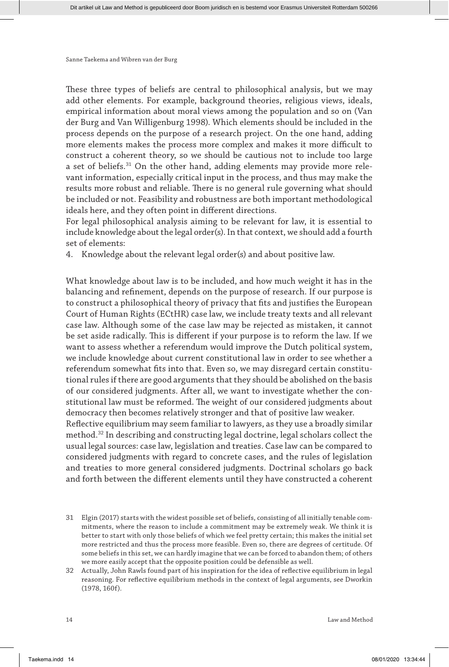These three types of beliefs are central to philosophical analysis, but we may add other elements. For example, background theories, religious views, ideals, empirical information about moral views among the population and so on (Van der Burg and Van Willigenburg 1998). Which elements should be included in the process depends on the purpose of a research project. On the one hand, adding more elements makes the process more complex and makes it more difficult to construct a coherent theory, so we should be cautious not to include too large a set of beliefs.31 On the other hand, adding elements may provide more relevant information, especially critical input in the process, and thus may make the results more robust and reliable. There is no general rule governing what should be included or not. Feasibility and robustness are both important methodological ideals here, and they often point in different directions.

For legal philosophical analysis aiming to be relevant for law, it is essential to include knowledge about the legal order(s). In that context, we should add a fourth set of elements:

4. Knowledge about the relevant legal order(s) and about positive law.

What knowledge about law is to be included, and how much weight it has in the balancing and refinement, depends on the purpose of research. If our purpose is to construct a philosophical theory of privacy that fits and justifies the European Court of Human Rights (ECtHR) case law, we include treaty texts and all relevant case law. Although some of the case law may be rejected as mistaken, it cannot be set aside radically. This is different if your purpose is to reform the law. If we want to assess whether a referendum would improve the Dutch political system, we include knowledge about current constitutional law in order to see whether a referendum somewhat fits into that. Even so, we may disregard certain constitutional rules if there are good arguments that they should be abolished on the basis of our considered judgments. After all, we want to investigate whether the constitutional law must be reformed. The weight of our considered judgments about democracy then becomes relatively stronger and that of positive law weaker.

Reflective equilibrium may seem familiar to lawyers, as they use a broadly similar method.32 In describing and constructing legal doctrine, legal scholars collect the usual legal sources: case law, legislation and treaties. Case law can be compared to considered judgments with regard to concrete cases, and the rules of legislation and treaties to more general considered judgments. Doctrinal scholars go back and forth between the different elements until they have constructed a coherent

- 31 Elgin (2017) starts with the widest possible set of beliefs, consisting of all initially tenable commitments, where the reason to include a commitment may be extremely weak. We think it is better to start with only those beliefs of which we feel pretty certain; this makes the initial set more restricted and thus the process more feasible. Even so, there are degrees of certitude. Of some beliefs in this set, we can hardly imagine that we can be forced to abandon them; of others we more easily accept that the opposite position could be defensible as well.
- 32 Actually, John Rawls found part of his inspiration for the idea of reflective equilibrium in legal reasoning. For reflective equilibrium methods in the context of legal arguments, see Dworkin (1978, 160f).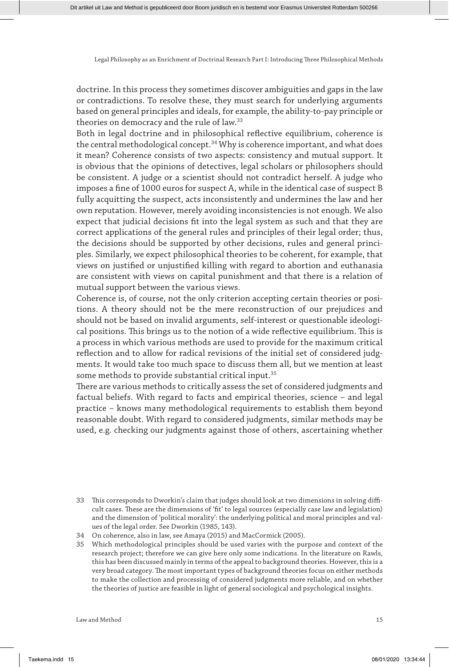doctrine. In this process they sometimes discover ambiguities and gaps in the law or contradictions. To resolve these, they must search for underlying arguments based on general principles and ideals, for example, the ability-to-pay principle or theories on democracy and the rule of law.33

Both in legal doctrine and in philosophical reflective equilibrium, coherence is the central methodological concept.<sup>34</sup> Why is coherence important, and what does it mean? Coherence consists of two aspects: consistency and mutual support. It is obvious that the opinions of detectives, legal scholars or philosophers should be consistent. A judge or a scientist should not contradict herself. A judge who imposes a fine of 1000 euros for suspect A, while in the identical case of suspect B fully acquitting the suspect, acts inconsistently and undermines the law and her own reputation. However, merely avoiding inconsistencies is not enough. We also expect that judicial decisions fit into the legal system as such and that they are correct applications of the general rules and principles of their legal order; thus, the decisions should be supported by other decisions, rules and general principles. Similarly, we expect philosophical theories to be coherent, for example, that views on justified or unjustified killing with regard to abortion and euthanasia are consistent with views on capital punishment and that there is a relation of mutual support between the various views.

Coherence is, of course, not the only criterion accepting certain theories or positions. A theory should not be the mere reconstruction of our prejudices and should not be based on invalid arguments, self-interest or questionable ideological positions. This brings us to the notion of a wide reflective equilibrium. This is a process in which various methods are used to provide for the maximum critical reflection and to allow for radical revisions of the initial set of considered judgments. It would take too much space to discuss them all, but we mention at least some methods to provide substantial critical input.<sup>35</sup>

There are various methods to critically assess the set of considered judgments and factual beliefs. With regard to facts and empirical theories, science – and legal practice – knows many methodological requirements to establish them beyond reasonable doubt. With regard to considered judgments, similar methods may be used, e.g. checking our judgments against those of others, ascertaining whether

<sup>33</sup> This corresponds to Dworkin's claim that judges should look at two dimensions in solving difficult cases. These are the dimensions of 'fit' to legal sources (especially case law and legislation) and the dimension of 'political morality': the underlying political and moral principles and values of the legal order. See Dworkin (1985, 143).

<sup>34</sup> On coherence, also in law, see Amaya (2015) and MacCormick (2005).

<sup>35</sup> Which methodological principles should be used varies with the purpose and context of the research project; therefore we can give here only some indications. In the literature on Rawls, this has been discussed mainly in terms of the appeal to background theories. However, this is a very broad category. The most important types of background theories focus on either methods to make the collection and processing of considered judgments more reliable, and on whether the theories of justice are feasible in light of general sociological and psychological insights.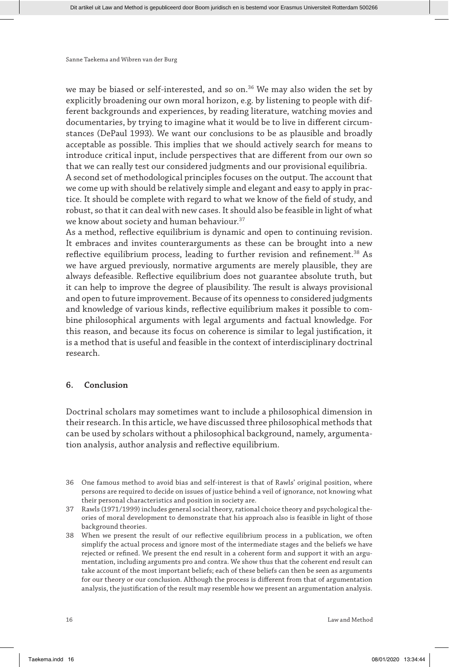we may be biased or self-interested, and so on.<sup>36</sup> We may also widen the set by explicitly broadening our own moral horizon, e.g. by listening to people with different backgrounds and experiences, by reading literature, watching movies and documentaries, by trying to imagine what it would be to live in different circumstances (DePaul 1993). We want our conclusions to be as plausible and broadly acceptable as possible. This implies that we should actively search for means to introduce critical input, include perspectives that are different from our own so that we can really test our considered judgments and our provisional equilibria.

A second set of methodological principles focuses on the output. The account that we come up with should be relatively simple and elegant and easy to apply in practice. It should be complete with regard to what we know of the field of study, and robust, so that it can deal with new cases. It should also be feasible in light of what we know about society and human behaviour.<sup>37</sup>

As a method, reflective equilibrium is dynamic and open to continuing revision. It embraces and invites counterarguments as these can be brought into a new reflective equilibrium process, leading to further revision and refinement.<sup>38</sup> As we have argued previously, normative arguments are merely plausible, they are always defeasible. Reflective equilibrium does not guarantee absolute truth, but it can help to improve the degree of plausibility. The result is always provisional and open to future improvement. Because of its openness to considered judgments and knowledge of various kinds, reflective equilibrium makes it possible to combine philosophical arguments with legal arguments and factual knowledge. For this reason, and because its focus on coherence is similar to legal justification, it is a method that is useful and feasible in the context of interdisciplinary doctrinal research.

## **6. Conclusion**

Doctrinal scholars may sometimes want to include a philosophical dimension in their research. In this article, we have discussed three philosophical methods that can be used by scholars without a philosophical background, namely, argumentation analysis, author analysis and reflective equilibrium.

- 36 One famous method to avoid bias and self-interest is that of Rawls' original position, where persons are required to decide on issues of justice behind a veil of ignorance, not knowing what their personal characteristics and position in society are.
- 37 Rawls (1971/1999) includes general social theory, rational choice theory and psychological theories of moral development to demonstrate that his approach also is feasible in light of those background theories.
- 38 When we present the result of our reflective equilibrium process in a publication, we often simplify the actual process and ignore most of the intermediate stages and the beliefs we have rejected or refined. We present the end result in a coherent form and support it with an argumentation, including arguments pro and contra. We show thus that the coherent end result can take account of the most important beliefs; each of these beliefs can then be seen as arguments for our theory or our conclusion. Although the process is different from that of argumentation analysis, the justification of the result may resemble how we present an argumentation analysis.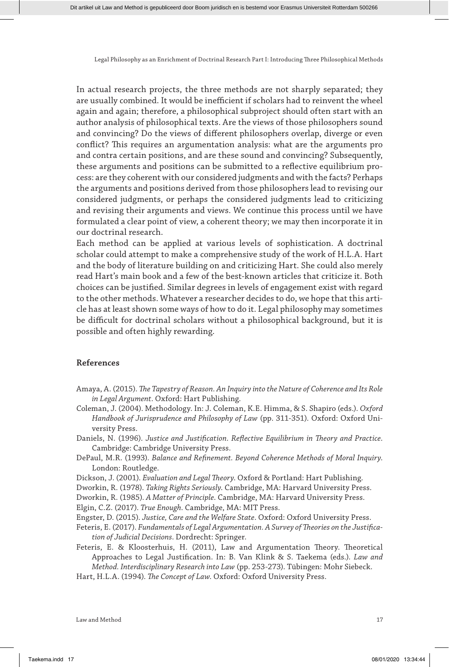In actual research projects, the three methods are not sharply separated; they are usually combined. It would be inefficient if scholars had to reinvent the wheel again and again; therefore, a philosophical subproject should often start with an author analysis of philosophical texts. Are the views of those philosophers sound and convincing? Do the views of different philosophers overlap, diverge or even conflict? This requires an argumentation analysis: what are the arguments pro and contra certain positions, and are these sound and convincing? Subsequently, these arguments and positions can be submitted to a reflective equilibrium process: are they coherent with our considered judgments and with the facts? Perhaps the arguments and positions derived from those philosophers lead to revising our considered judgments, or perhaps the considered judgments lead to criticizing and revising their arguments and views. We continue this process until we have formulated a clear point of view, a coherent theory; we may then incorporate it in our doctrinal research.

Each method can be applied at various levels of sophistication. A doctrinal scholar could attempt to make a comprehensive study of the work of H.L.A. Hart and the body of literature building on and criticizing Hart. She could also merely read Hart's main book and a few of the best-known articles that criticize it. Both choices can be justified. Similar degrees in levels of engagement exist with regard to the other methods. Whatever a researcher decides to do, we hope that this article has at least shown some ways of how to do it. Legal philosophy may sometimes be difficult for doctrinal scholars without a philosophical background, but it is possible and often highly rewarding.

# **References**

- Amaya, A. (2015). *The Tapestry of Reason. An Inquiry into the Nature of Coherence and Its Role in Legal Argument*. Oxford: Hart Publishing.
- Coleman, J. (2004). Methodology. In: J. Coleman, K.E. Himma, & S. Shapiro (eds.). *Oxford Handbook of Jurisprudence and Philosophy of Law* (pp. 311-351). Oxford: Oxford University Press.
- Daniels, N. (1996). *Justice and Justification. Reflective Equilibrium in Theory and Practice*. Cambridge: Cambridge University Press.
- DePaul, M.R. (1993). *Balance and Refinement. Beyond Coherence Methods of Moral Inquiry*. London: Routledge.
- Dickson, J. (2001). *Evaluation and Legal Theory*. Oxford & Portland: Hart Publishing.
- Dworkin, R. (1978). *Taking Rights Seriously*. Cambridge, MA: Harvard University Press.

Dworkin, R. (1985)*. A Matter of Principle*. Cambridge, MA: Harvard University Press.

Elgin, C.Z. (2017). *True Enough*. Cambridge, MA: MIT Press.

- Engster, D. (2015). *Justice, Care and the Welfare State*. Oxford: Oxford University Press.
- Feteris, E. (2017). *Fundamentals of Legal Argumentation. A Survey of Theories on the Justification of Judicial Decisions*. Dordrecht: Springer.

Feteris, E. & Kloosterhuis, H. (2011), Law and Argumentation Theory. Theoretical Approaches to Legal Justification. In: B. Van Klink & S. Taekema (eds.). *Law and Method. Interdisciplinary Research into Law* (pp. 253-273). Tübingen: Mohr Siebeck.

Hart, H.L.A. (1994). *The Concept of Law*. Oxford: Oxford University Press.

Law and Method 17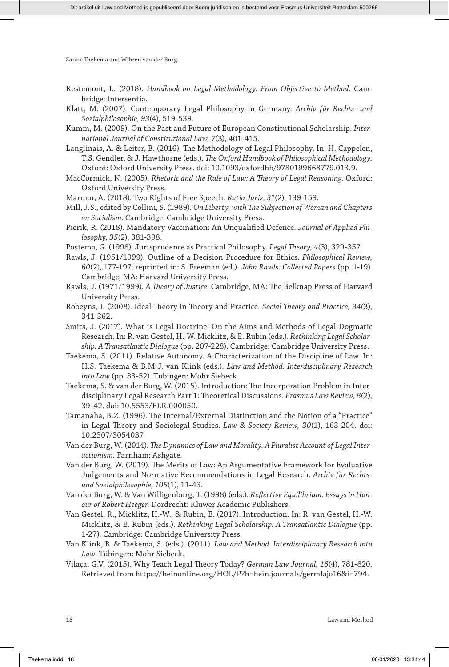Kestemont, L. (2018). *Handbook on Legal Methodology. From Objective to Method*. Cambridge: Intersentia.

- Klatt, M. (2007). Contemporary Legal Philosophy in Germany. *Archiv für Rechts- und Sozialphilosophie, 93*(4), 519-539.
- Kumm, M. (2009). On the Past and Future of European Constitutional Scholarship. *International Journal of Constitutional Law, 7*(3), 401-415.
- Langlinais, A. & Leiter, B. (2016). The Methodology of Legal Philosophy. In: H. Cappelen, T.S. Gendler, & J. Hawthorne (eds.). *The Oxford Handbook of Philosophical Methodology.*  Oxford: Oxford University Press. doi: 10.1093/oxfordhb/9780199668779.013.9.
- MacCormick, N. (2005). *Rhetoric and the Rule of Law: A Theory of Legal Reasoning*. Oxford: Oxford University Press.
- Marmor, A. (2018). Two Rights of Free Speech. *Ratio Juris, 31*(2), 139-159.
- Mill, J.S., edited by Collini, S. (1989). *On Liberty, with The Subjection of Woman and Chapters on Socialism*. Cambridge: Cambridge University Press.
- Pierik, R. (2018). Mandatory Vaccination: An Unqualified Defence. *Journal of Applied Philosophy, 35*(2), 381-398.
- Postema, G. (1998). Jurisprudence as Practical Philosophy. *Legal Theory, 4*(3), 329-357.
- Rawls, J. (1951/1999). Outline of a Decision Procedure for Ethics. *Philosophical Review, 60*(2), 177-197; reprinted in: S. Freeman (ed.). *John Rawls. Collected Papers* (pp. 1-19). Cambridge, MA: Harvard University Press.
- Rawls, J. (1971/1999). *A Theory of Justice*. Cambridge, MA: The Belknap Press of Harvard University Press.
- Robeyns, I. (2008). Ideal Theory in Theory and Practice. *Social Theory and Practice, 34*(3), 341-362.
- Smits, J. (2017). What is Legal Doctrine: On the Aims and Methods of Legal-Dogmatic Research. In: R. van Gestel, H.-W. Micklitz, & E. Rubin (eds.). *Rethinking Legal Scholarship: A Transatlantic Dialogue* (pp. 207-228). Cambridge: Cambridge University Press.
- Taekema, S. (2011). Relative Autonomy. A Characterization of the Discipline of Law. In: H.S. Taekema & B.M.J. van Klink (eds.). *Law and Method. Interdisciplinary Research into Law* (pp. 33-52). Tübingen: Mohr Siebeck.
- Taekema, S. & van der Burg, W. (2015). Introduction: The Incorporation Problem in Interdisciplinary Legal Research Part 1: Theoretical Discussions. *Erasmus Law Review, 8*(2), 39-42. doi: 10.5553/ELR.000050.
- Tamanaha, B.Z. (1996). The Internal/External Distinction and the Notion of a "Practice" in Legal Theory and Sociolegal Studies. *Law & Society Review, 30*(1), 163-204. doi: 10.2307/3054037.
- Van der Burg, W. (2014). *The Dynamics of Law and Morality. A Pluralist Account of Legal Interactionism.* Farnham: Ashgate.
- Van der Burg, W. (2019). The Merits of Law: An Argumentative Framework for Evaluative Judgements and Normative Recommendations in Legal Research. *Archiv für Rechtsund Sozialphilosophie, 105*(1), 11-43.
- Van der Burg, W. & Van Willigenburg, T. (1998) (eds.). *Reflective Equilibrium: Essays in Honour of Robert Heeger*. Dordrecht: Kluwer Academic Publishers.
- Van Gestel, R., Micklitz, H.-W., & Rubin, E. (2017). Introduction. In: R. van Gestel, H.-W. Micklitz, & E. Rubin (eds.). *Rethinking Legal Scholarship: A Transatlantic Dialogue* (pp. 1-27). Cambridge: Cambridge University Press.
- Van Klink, B. & Taekema, S. (eds.). (2011). *Law and Method. Interdisciplinary Research into Law*. Tübingen: Mohr Siebeck.
- Vilaça, G.V. (2015). Why Teach Legal Theory Today? *German Law Journal, 16*(4), 781-820. Retrieved from https://heinonline.org/HOL/P?h=hein.journals/germlajo16&i=794.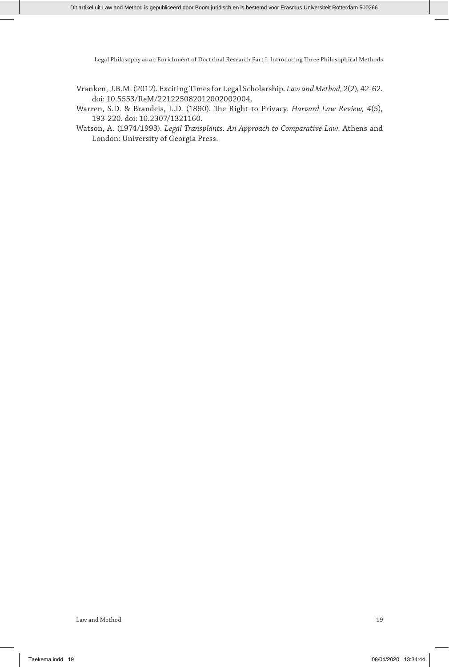- Vranken, J.B.M. (2012). Exciting Times for Legal Scholarship. *Law and Method, 2*(2), 42-62. doi: 10.5553/ReM/221225082012002002004.
- Warren, S.D. & Brandeis, L.D. (1890). The Right to Privacy. *Harvard Law Review, 4*(5), 193-220. doi: 10.2307/1321160.
- Watson, A. (1974/1993). *Legal Transplants. An Approach to Comparative Law*. Athens and London: University of Georgia Press.

Law and Method 19